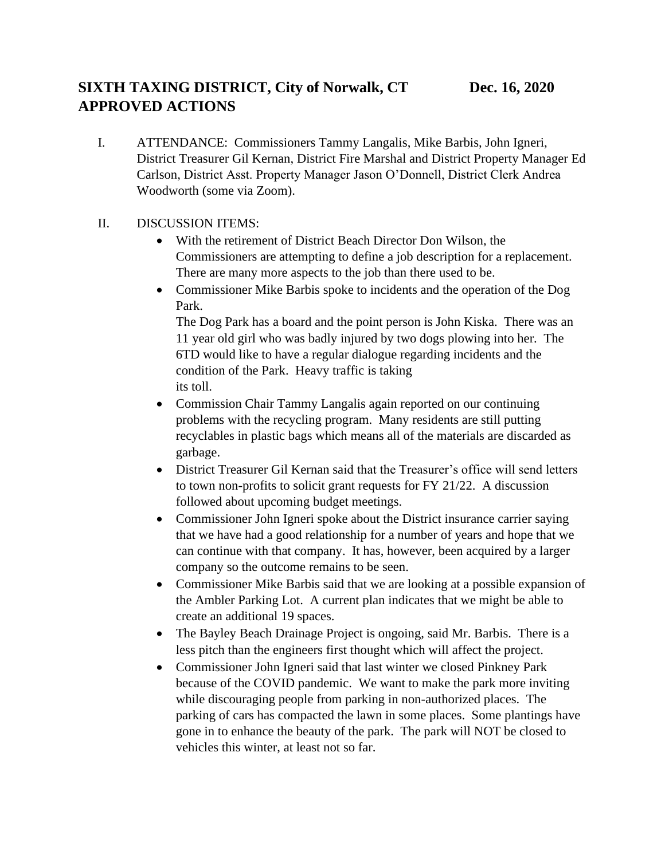I. ATTENDANCE: Commissioners Tammy Langalis, Mike Barbis, John Igneri, District Treasurer Gil Kernan, District Fire Marshal and District Property Manager Ed Carlson, District Asst. Property Manager Jason O'Donnell, District Clerk Andrea Woodworth (some via Zoom).

## II. DISCUSSION ITEMS:

- With the retirement of District Beach Director Don Wilson, the Commissioners are attempting to define a job description for a replacement. There are many more aspects to the job than there used to be.
- Commissioner Mike Barbis spoke to incidents and the operation of the Dog Park.

The Dog Park has a board and the point person is John Kiska. There was an 11 year old girl who was badly injured by two dogs plowing into her. The 6TD would like to have a regular dialogue regarding incidents and the condition of the Park. Heavy traffic is taking its toll.

- Commission Chair Tammy Langalis again reported on our continuing problems with the recycling program. Many residents are still putting recyclables in plastic bags which means all of the materials are discarded as garbage.
- District Treasurer Gil Kernan said that the Treasurer's office will send letters to town non-profits to solicit grant requests for FY 21/22. A discussion followed about upcoming budget meetings.
- Commissioner John Igneri spoke about the District insurance carrier saying that we have had a good relationship for a number of years and hope that we can continue with that company. It has, however, been acquired by a larger company so the outcome remains to be seen.
- Commissioner Mike Barbis said that we are looking at a possible expansion of the Ambler Parking Lot. A current plan indicates that we might be able to create an additional 19 spaces.
- The Bayley Beach Drainage Project is ongoing, said Mr. Barbis. There is a less pitch than the engineers first thought which will affect the project.
- Commissioner John Igneri said that last winter we closed Pinkney Park because of the COVID pandemic. We want to make the park more inviting while discouraging people from parking in non-authorized places. The parking of cars has compacted the lawn in some places. Some plantings have gone in to enhance the beauty of the park. The park will NOT be closed to vehicles this winter, at least not so far.